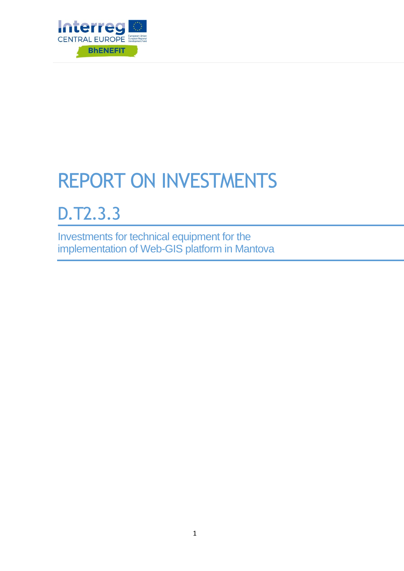

# REPORT ON INVESTMENTS

## D.T2.3.3

Investments for technical equipment for the implementation of Web-GIS platform in Mantova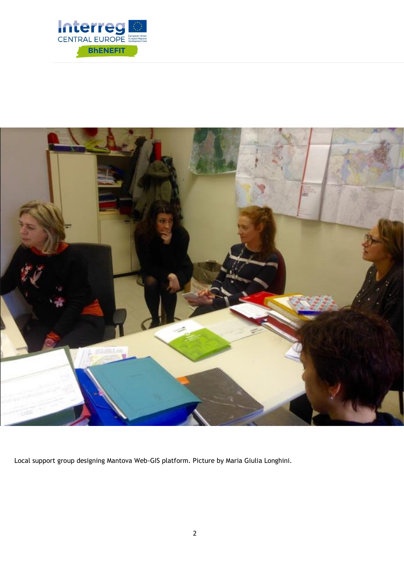



Local support group designing Mantova Web-GIS platform. Picture by Maria Giulia Longhini.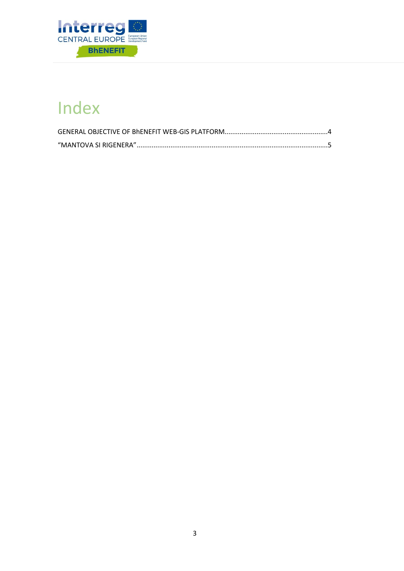

## Index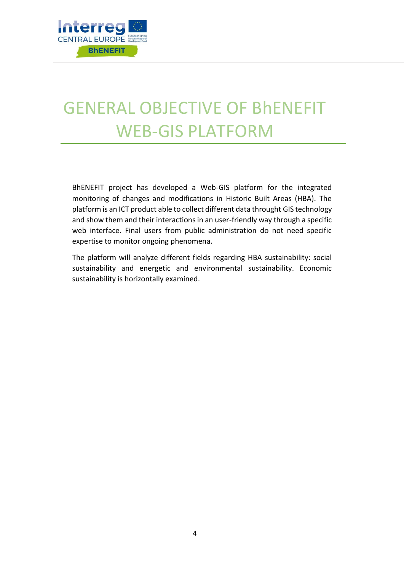

## <span id="page-3-0"></span>GENERAL OBJECTIVE OF BhENEFIT WEB-GIS PLATFORM

BhENEFIT project has developed a Web-GIS platform for the integrated monitoring of changes and modifications in Historic Built Areas (HBA). The platform is an ICT product able to collect different data throught GIS technology and show them and their interactions in an user-friendly way through a specific web interface. Final users from public administration do not need specific expertise to monitor ongoing phenomena.

The platform will analyze different fields regarding HBA sustainability: social sustainability and energetic and environmental sustainability. Economic sustainability is horizontally examined.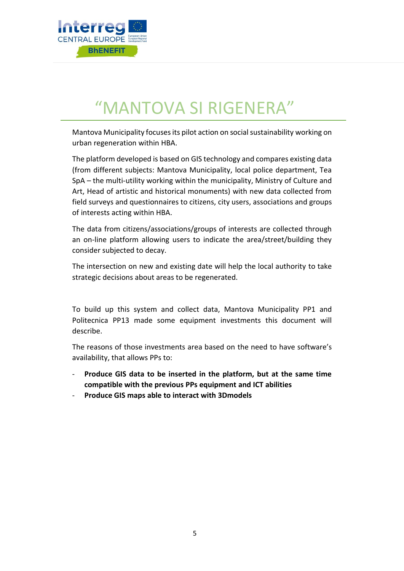

## "MANTOVA SI RIGENERA"

<span id="page-4-0"></span>Mantova Municipality focuses its pilot action on social sustainability working on urban regeneration within HBA.

The platform developed is based on GIS technology and compares existing data (from different subjects: Mantova Municipality, local police department, Tea SpA – the multi-utility working within the municipality, Ministry of Culture and Art, Head of artistic and historical monuments) with new data collected from field surveys and questionnaires to citizens, city users, associations and groups of interests acting within HBA.

The data from citizens/associations/groups of interests are collected through an on-line platform allowing users to indicate the area/street/building they consider subjected to decay.

The intersection on new and existing date will help the local authority to take strategic decisions about areas to be regenerated.

To build up this system and collect data, Mantova Municipality PP1 and Politecnica PP13 made some equipment investments this document will describe.

The reasons of those investments area based on the need to have software's availability, that allows PPs to:

- **Produce GIS data to be inserted in the platform, but at the same time compatible with the previous PPs equipment and ICT abilities**
- **Produce GIS maps able to interact with 3Dmodels**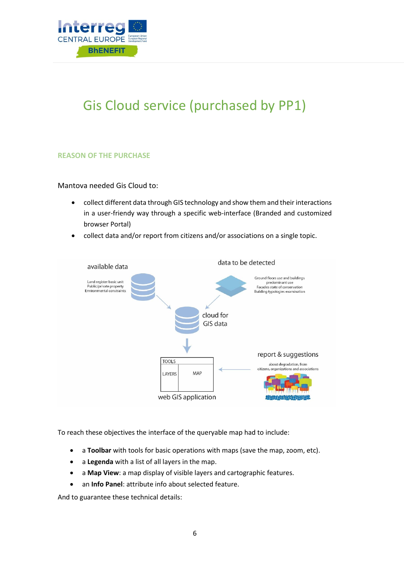

### Gis Cloud service (purchased by PP1)

#### **REASON OF THE PURCHASE**

#### Mantova needed Gis Cloud to:

- collect different data through GIS technology and show them and their interactions in a user-friendy way through a specific web-interface (Branded and customized browser Portal)
- collect data and/or report from citizens and/or associations on a single topic.



To reach these objectives the interface of the queryable map had to include:

- a **Toolbar** with tools for basic operations with maps (save the map, zoom, etc).
- a **Legenda** with a list of all layers in the map.
- a **Map View**: a map display of visible layers and cartographic features.
- an **Info Panel**: attribute info about selected feature.

And to guarantee these technical details: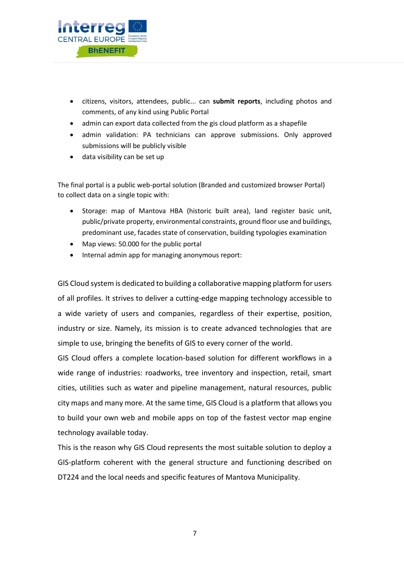

- citizens, visitors, attendees, public... can **submit reports**, including photos and comments, of any kind using Public Portal
- admin can export data collected from the gis cloud platform as a shapefile
- admin validation: PA technicians can approve submissions. Only approved submissions will be publicly visible
- data visibility can be set up

The final portal is a public web-portal solution (Branded and customized browser Portal) to collect data on a single topic with:

- Storage: map of Mantova HBA (historic built area), land register basic unit, public/private property, environmental constraints, ground floor use and buildings, predominant use, facades state of conservation, building typologies examination
- Map views: 50.000 for the public portal
- Internal admin app for managing anonymous report:

GIS Cloud system is dedicated to building a collaborative mapping platform for users of all profiles. It strives to deliver a cutting-edge mapping technology accessible to a wide variety of users and companies, regardless of their expertise, position, industry or size. Namely, its mission is to create advanced technologies that are simple to use, bringing the benefits of GIS to every corner of the world.

GIS Cloud offers a complete location-based solution for different workflows in a wide range of industries: roadworks, tree inventory and inspection, retail, smart cities, utilities such as water and pipeline management, natural resources, public city maps and many more. At the same time, GIS Cloud is a platform that allows you to build your own web and mobile apps on top of the fastest vector map engine technology available today.

This is the reason why GIS Cloud represents the most suitable solution to deploy a GIS-platform coherent with the general structure and functioning described on DT224 and the local needs and specific features of Mantova Municipality.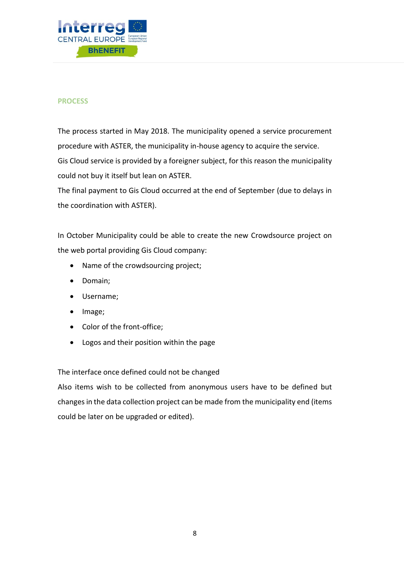

### **PROCESS**

The process started in May 2018. The municipality opened a service procurement procedure with ASTER, the municipality in-house agency to acquire the service. Gis Cloud service is provided by a foreigner subject, for this reason the municipality could not buy it itself but lean on ASTER.

The final payment to Gis Cloud occurred at the end of September (due to delays in the coordination with ASTER).

In October Municipality could be able to create the new Crowdsource project on the web portal providing Gis Cloud company:

- Name of the crowdsourcing project;
- Domain;
- Username;
- Image;
- Color of the front-office;
- Logos and their position within the page

The interface once defined could not be changed

Also items wish to be collected from anonymous users have to be defined but changes in the data collection project can be made from the municipality end (items could be later on be upgraded or edited).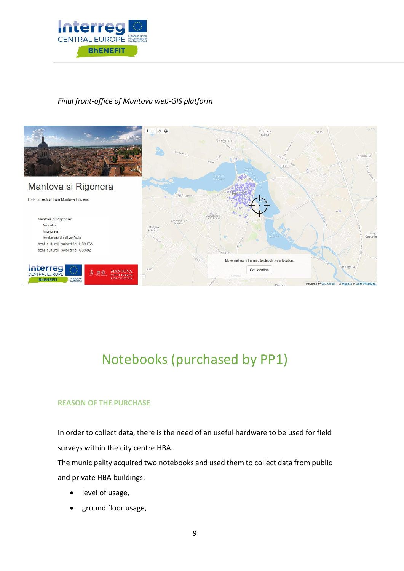

### *Final front-office of Mantova web-GIS platform*



### Notebooks (purchased by PP1)

### **REASON OF THE PURCHASE**

In order to collect data, there is the need of an useful hardware to be used for field surveys within the city centre HBA.

The municipality acquired two notebooks and used them to collect data from public and private HBA buildings:

- level of usage,
- ground floor usage,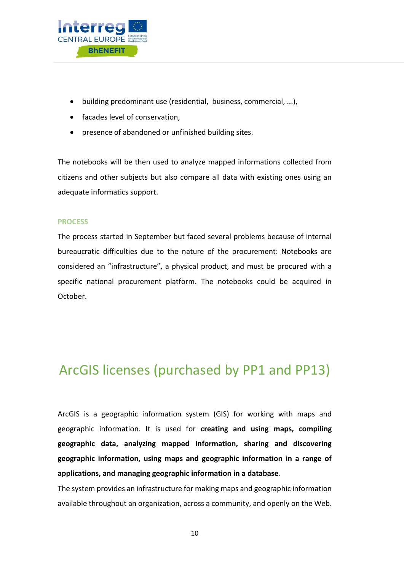

- building predominant use (residential, business, commercial, ...),
- facades level of conservation.
- presence of abandoned or unfinished building sites.

The notebooks will be then used to analyze mapped informations collected from citizens and other subjects but also compare all data with existing ones using an adequate informatics support.

### **PROCESS**

The process started in September but faced several problems because of internal bureaucratic difficulties due to the nature of the procurement: Notebooks are considered an "infrastructure", a physical product, and must be procured with a specific national procurement platform. The notebooks could be acquired in October.

### ArcGIS licenses (purchased by PP1 and PP13)

ArcGIS is a geographic information system (GIS) for working with maps and geographic information. It is used for **creating and using maps, compiling geographic data, analyzing mapped information, sharing and discovering geographic information, using maps and geographic information in a range of applications, and managing geographic information in a database**.

The system provides an infrastructure for making maps and geographic information available throughout an organization, across a community, and openly on the Web.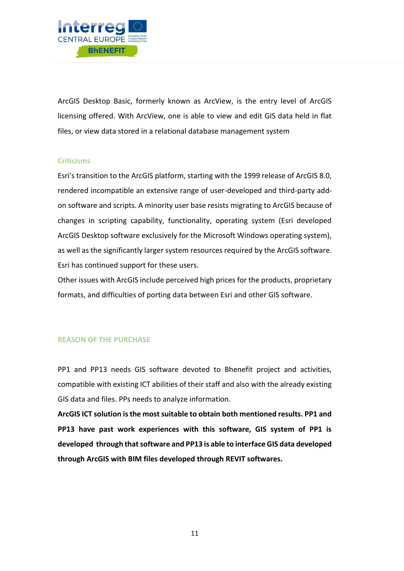

ArcGIS Desktop Basic, formerly known as ArcView, is the entry level of ArcGIS licensing offered. With ArcView, one is able to view and edit GIS data held in flat files, or view data stored in a relational database management system

### **Criticisms**

Esri's transition to the ArcGIS platform, starting with the 1999 release of ArcGIS 8.0, rendered incompatible an extensive range of user-developed and third-party addon software and scripts. A minority user base resists migrating to ArcGIS because of changes in scripting capability, functionality, operating system (Esri developed ArcGIS Desktop software exclusively for the Microsoft Windows operating system), as well as the significantly larger system resources required by the ArcGIS software. Esri has continued support for these users.

Other issues with ArcGIS include perceived high prices for the products, proprietary formats, and difficulties of porting data between Esri and other GIS software.

### **REASON OF THE PURCHASE**

PP1 and PP13 needs GIS software devoted to Bhenefit project and activities, compatible with existing ICT abilities of their staff and also with the already existing GIS data and files. PPs needs to analyze information.

**ArcGIS ICT solution is the most suitable to obtain both mentioned results. PP1 and PP13 have past work experiences with this software, GIS system of PP1 is developed through that software and PP13 is able to interface GIS data developed through ArcGIS with BIM files developed through REVIT softwares.**